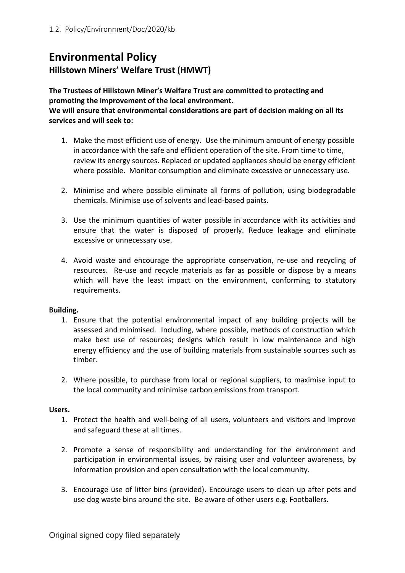## **Environmental Policy Hillstown Miners' Welfare Trust (HMWT)**

**The Trustees of Hillstown Miner's Welfare Trust are committed to protecting and promoting the improvement of the local environment.**

**We will ensure that environmental considerations are part of decision making on all its services and will seek to:**

- 1. Make the most efficient use of energy. Use the minimum amount of energy possible in accordance with the safe and efficient operation of the site. From time to time, review its energy sources. Replaced or updated appliances should be energy efficient where possible. Monitor consumption and eliminate excessive or unnecessary use.
- 2. Minimise and where possible eliminate all forms of pollution, using biodegradable chemicals. Minimise use of solvents and lead-based paints.
- 3. Use the minimum quantities of water possible in accordance with its activities and ensure that the water is disposed of properly. Reduce leakage and eliminate excessive or unnecessary use.
- 4. Avoid waste and encourage the appropriate conservation, re-use and recycling of resources. Re-use and recycle materials as far as possible or dispose by a means which will have the least impact on the environment, conforming to statutory requirements.

## **Building.**

- 1. Ensure that the potential environmental impact of any building projects will be assessed and minimised. Including, where possible, methods of construction which make best use of resources; designs which result in low maintenance and high energy efficiency and the use of building materials from sustainable sources such as timber.
- 2. Where possible, to purchase from local or regional suppliers, to maximise input to the local community and minimise carbon emissions from transport.

## **Users.**

- 1. Protect the health and well-being of all users, volunteers and visitors and improve and safeguard these at all times.
- 2. Promote a sense of responsibility and understanding for the environment and participation in environmental issues, by raising user and volunteer awareness, by information provision and open consultation with the local community.
- 3. Encourage use of litter bins (provided). Encourage users to clean up after pets and use dog waste bins around the site. Be aware of other users e.g. Footballers.